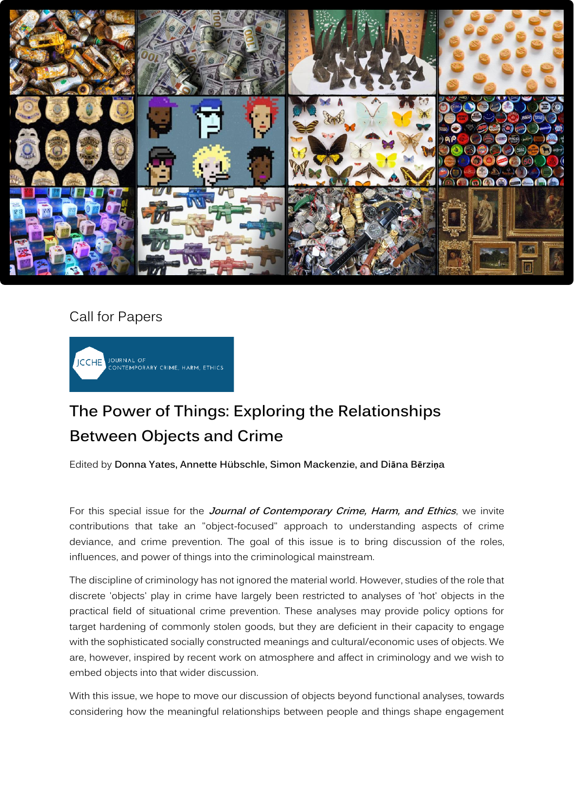

## Call for Papers



## **The Power of Things: Exploring the Relationships Between Objects and Crime**

Edited by **Donna Yates, Annette Hübschle, Simon Mackenzie, and Diāna Bērziņa**

For this special issue for the **Journal of Contemporary Crime, Harm, and Ethics**, we invite contributions that take an "object-focused" approach to understanding aspects of crime deviance, and crime prevention. The goal of this issue is to bring discussion of the roles, influences, and power of things into the criminological mainstream.

The discipline of criminology has not ignored the material world. However, studies of the role that discrete 'objects' play in crime have largely been restricted to analyses of 'hot' objects in the practical field of situational crime prevention. These analyses may provide policy options for target hardening of commonly stolen goods, but they are deficient in their capacity to engage with the sophisticated socially constructed meanings and cultural/economic uses of objects. We are, however, inspired by recent work on atmosphere and affect in criminology and we wish to embed objects into that wider discussion.

With this issue, we hope to move our discussion of objects beyond functional analyses, towards considering how the meaningful relationships between people and things shape engagement